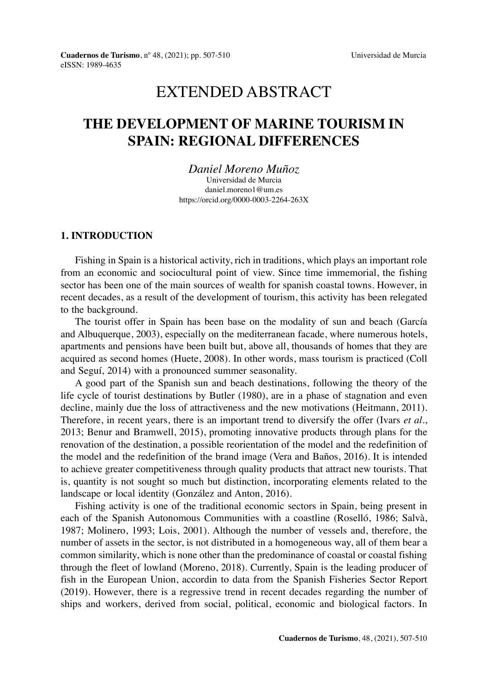# EXTENDED ABSTRACT

# **THE DEVELOPMENT OF MARINE TOURISM IN SPAIN: REGIONAL DIFFERENCES**

*Daniel Moreno Muñoz* Universidad de Murcia daniel.moreno1@um.es <https://orcid.org/0000-0003-2264-263X>

#### **1. INTRODUCTION**

Fishing in Spain is a historical activity, rich in traditions, which plays an important role from an economic and sociocultural point of view. Since time immemorial, the fishing sector has been one of the main sources of wealth for spanish coastal towns. However, in recent decades, as a result of the development of tourism, this activity has been relegated to the background.

The tourist offer in Spain has been base on the modality of sun and beach (García and Albuquerque, 2003), especially on the mediterranean facade, where numerous hotels, apartments and pensions have been built but, above all, thousands of homes that they are acquired as second homes (Huete, 2008). In other words, mass tourism is practiced (Coll and Seguí, 2014) with a pronounced summer seasonality.

A good part of the Spanish sun and beach destinations, following the theory of the life cycle of tourist destinations by Butler (1980), are in a phase of stagnation and even decline, mainly due the loss of attractiveness and the new motivations (Heitmann, 2011). Therefore, in recent years, there is an important trend to diversify the offer (Ivars *et al.*, 2013; Benur and Bramwell, 2015), promoting innovative products through plans for the renovation of the destination, a possible reorientation of the model and the redefinition of the model and the redefinition of the brand image (Vera and Baños, 2016). It is intended to achieve greater competitiveness through quality products that attract new tourists. That is, quantity is not sought so much but distinction, incorporating elements related to the landscape or local identity (González and Anton, 2016).

Fishing activity is one of the traditional economic sectors in Spain, being present in each of the Spanish Autonomous Communities with a coastline (Roselló, 1986; Salvà, 1987; Molinero, 1993; Lois, 2001). Although the number of vessels and, therefore, the number of assets in the sector, is not distributed in a homogeneous way, all of them bear a common similarity, which is none other than the predominance of coastal or coastal fishing through the fleet of lowland (Moreno, 2018). Currently, Spain is the leading producer of fish in the European Union, accordin to data from the Spanish Fisheries Sector Report (2019). However, there is a regressive trend in recent decades regarding the number of ships and workers, derived from social, political, economic and biological factors. In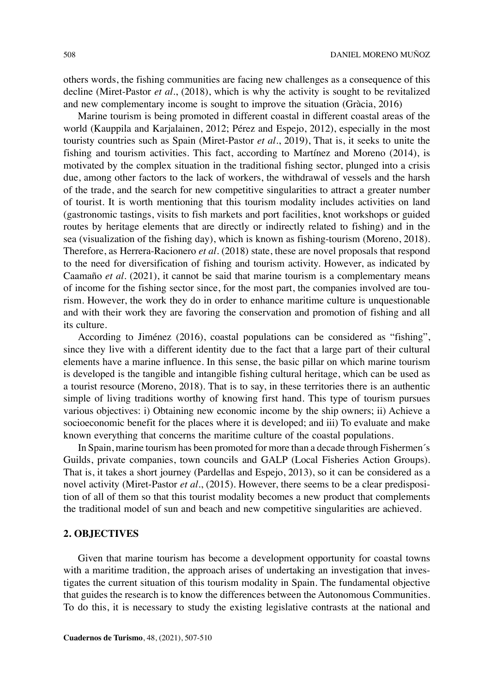others words, the fishing communities are facing new challenges as a consequence of this decline (Miret-Pastor *et al.*, (2018), which is why the activity is sought to be revitalized and new complementary income is sought to improve the situation (Gràcia, 2016)

Marine tourism is being promoted in different coastal in different coastal areas of the world (Kauppila and Karjalainen, 2012; Pérez and Espejo, 2012), especially in the most touristy countries such as Spain (Miret-Pastor *et al.*, 2019), That is, it seeks to unite the fishing and tourism activities. This fact, according to Martínez and Moreno (2014), is motivated by the complex situation in the traditional fishing sector, plunged into a crisis due, among other factors to the lack of workers, the withdrawal of vessels and the harsh of the trade, and the search for new competitive singularities to attract a greater number of tourist. It is worth mentioning that this tourism modality includes activities on land (gastronomic tastings, visits to fish markets and port facilities, knot workshops or guided routes by heritage elements that are directly or indirectly related to fishing) and in the sea (visualization of the fishing day), which is known as fishing-tourism (Moreno, 2018). Therefore, as Herrera-Racionero *et al.* (2018) state, these are novel proposals that respond to the need for diversification of fishing and tourism activity. However, as indicated by Caamaño *et al.* (2021), it cannot be said that marine tourism is a complementary means of income for the fishing sector since, for the most part, the companies involved are tourism. However, the work they do in order to enhance maritime culture is unquestionable and with their work they are favoring the conservation and promotion of fishing and all its culture.

According to Jiménez (2016), coastal populations can be considered as "fishing", since they live with a different identity due to the fact that a large part of their cultural elements have a marine influence. In this sense, the basic pillar on which marine tourism is developed is the tangible and intangible fishing cultural heritage, which can be used as a tourist resource (Moreno, 2018). That is to say, in these territories there is an authentic simple of living traditions worthy of knowing first hand. This type of tourism pursues various objectives: i) Obtaining new economic income by the ship owners; ii) Achieve a socioeconomic benefit for the places where it is developed; and iii) To evaluate and make known everything that concerns the maritime culture of the coastal populations.

In Spain, marine tourism has been promoted for more than a decade through Fishermen´s Guilds, private companies, town councils and GALP (Local Fisheries Action Groups). That is, it takes a short journey (Pardellas and Espejo, 2013), so it can be considered as a novel activity (Miret-Pastor *et al.*, (2015). However, there seems to be a clear predisposition of all of them so that this tourist modality becomes a new product that complements the traditional model of sun and beach and new competitive singularities are achieved.

# **2. OBJECTIVES**

Given that marine tourism has become a development opportunity for coastal towns with a maritime tradition, the approach arises of undertaking an investigation that investigates the current situation of this tourism modality in Spain. The fundamental objective that guides the research is to know the differences between the Autonomous Communities. To do this, it is necessary to study the existing legislative contrasts at the national and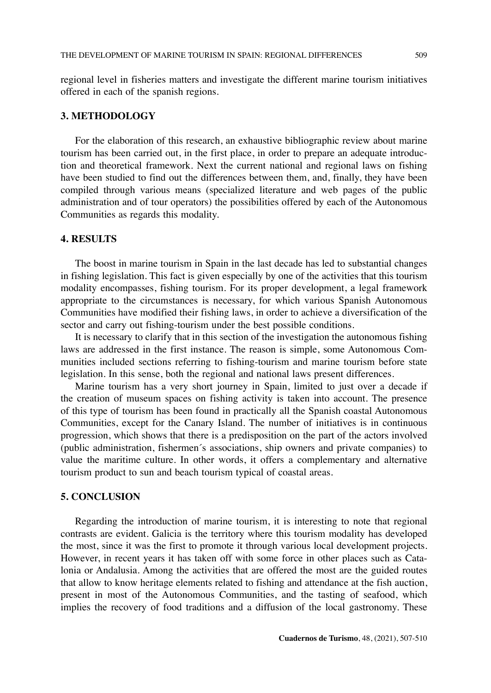regional level in fisheries matters and investigate the different marine tourism initiatives offered in each of the spanish regions.

#### **3. METHODOLOGY**

For the elaboration of this research, an exhaustive bibliographic review about marine tourism has been carried out, in the first place, in order to prepare an adequate introduction and theoretical framework. Next the current national and regional laws on fishing have been studied to find out the differences between them, and, finally, they have been compiled through various means (specialized literature and web pages of the public administration and of tour operators) the possibilities offered by each of the Autonomous Communities as regards this modality.

### **4. RESULTS**

The boost in marine tourism in Spain in the last decade has led to substantial changes in fishing legislation. This fact is given especially by one of the activities that this tourism modality encompasses, fishing tourism. For its proper development, a legal framework appropriate to the circumstances is necessary, for which various Spanish Autonomous Communities have modified their fishing laws, in order to achieve a diversification of the sector and carry out fishing-tourism under the best possible conditions.

It is necessary to clarify that in this section of the investigation the autonomous fishing laws are addressed in the first instance. The reason is simple, some Autonomous Communities included sections referring to fishing-tourism and marine tourism before state legislation. In this sense, both the regional and national laws present differences.

Marine tourism has a very short journey in Spain, limited to just over a decade if the creation of museum spaces on fishing activity is taken into account. The presence of this type of tourism has been found in practically all the Spanish coastal Autonomous Communities, except for the Canary Island. The number of initiatives is in continuous progression, which shows that there is a predisposition on the part of the actors involved (public administration, fishermen´s associations, ship owners and private companies) to value the maritime culture. In other words, it offers a complementary and alternative tourism product to sun and beach tourism typical of coastal areas.

# **5. CONCLUSION**

Regarding the introduction of marine tourism, it is interesting to note that regional contrasts are evident. Galicia is the territory where this tourism modality has developed the most, since it was the first to promote it through various local development projects. However, in recent years it has taken off with some force in other places such as Catalonia or Andalusia. Among the activities that are offered the most are the guided routes that allow to know heritage elements related to fishing and attendance at the fish auction, present in most of the Autonomous Communities, and the tasting of seafood, which implies the recovery of food traditions and a diffusion of the local gastronomy. These